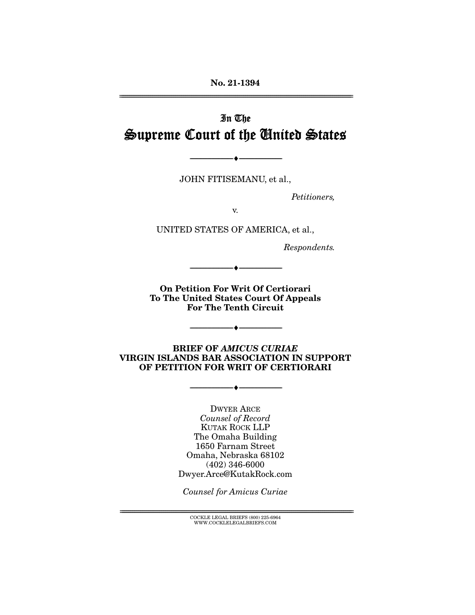**No. 21-1394**  ================================================================================================================

# In The Supreme Court of the United States

JOHN FITISEMANU, et al.,

--------------------------------- ♦ ---------------------------------

Petitioners,

v.

UNITED STATES OF AMERICA, et al.,

Respondents.

**On Petition For Writ Of Certiorari To The United States Court Of Appeals For The Tenth Circuit** 

 $- \bullet -$ 

--------------------------------- ♦ ---------------------------------

**BRIEF OF** *AMICUS CURIAE* **VIRGIN ISLANDS BAR ASSOCIATION IN SUPPORT OF PETITION FOR WRIT OF CERTIORARI** 

 $- \bullet -$ 

DWYER ARCE Counsel of Record KUTAK ROCK LLP The Omaha Building 1650 Farnam Street Omaha, Nebraska 68102 (402) 346-6000 Dwyer.Arce@KutakRock.com

Counsel for Amicus Curiae

 $\text{COCKLE LEGAL BRIEFS}$  (800) 225-6964 WWW.COCKLELEGALBRIEFS.COM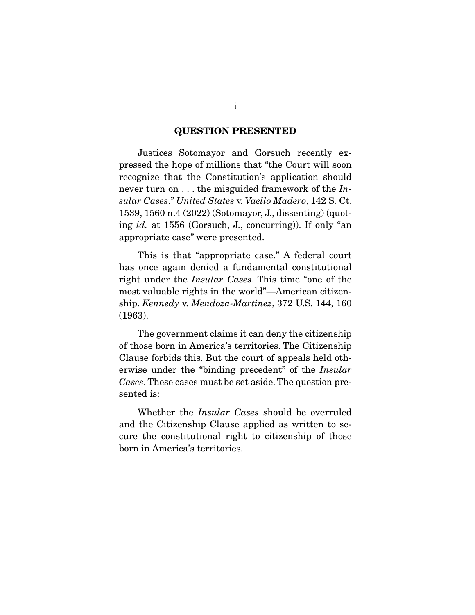#### **QUESTION PRESENTED**

 Justices Sotomayor and Gorsuch recently expressed the hope of millions that "the Court will soon recognize that the Constitution's application should never turn on  $\dots$  the misguided framework of the Insular Cases." United States v. Vaello Madero, 142 S. Ct. 1539, 1560 n.4 (2022) (Sotomayor, J., dissenting) (quoting id. at 1556 (Gorsuch, J., concurring)). If only "an appropriate case" were presented.

 This is that "appropriate case." A federal court has once again denied a fundamental constitutional right under the Insular Cases. This time "one of the most valuable rights in the world"—American citizenship. Kennedy v. Mendoza-Martinez, 372 U.S. 144, 160 (1963).

 The government claims it can deny the citizenship of those born in America's territories. The Citizenship Clause forbids this. But the court of appeals held otherwise under the "binding precedent" of the Insular Cases. These cases must be set aside. The question presented is:

Whether the *Insular Cases* should be overruled and the Citizenship Clause applied as written to secure the constitutional right to citizenship of those born in America's territories.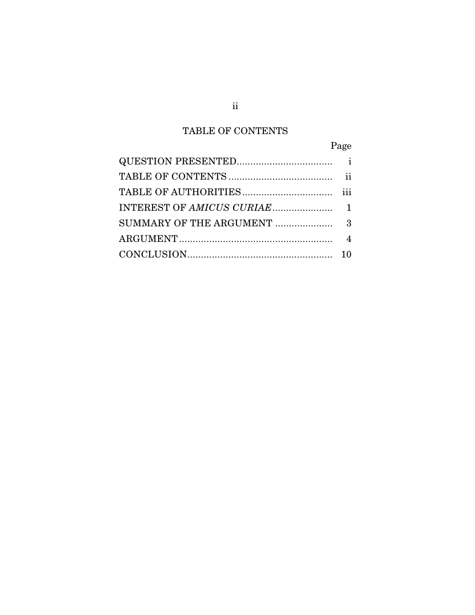### TABLE OF CONTENTS

| Page |
|------|
|      |
|      |
|      |
|      |
|      |
|      |
|      |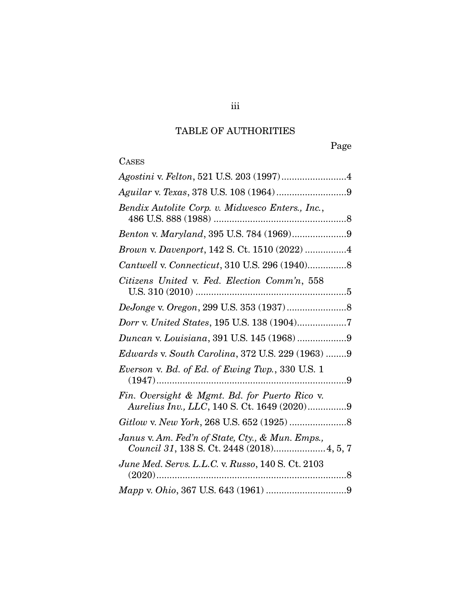### TABLE OF AUTHORITIES

Page

## **CASES**

| Bendix Autolite Corp. v. Midwesco Enters., Inc.,                                               |
|------------------------------------------------------------------------------------------------|
|                                                                                                |
| Brown v. Davenport, 142 S. Ct. 1510 (2022) 4                                                   |
|                                                                                                |
| Citizens United v. Fed. Election Comm'n, 558                                                   |
|                                                                                                |
| Dorr v. United States, 195 U.S. 138 (1904)7                                                    |
| Duncan v. Louisiana, 391 U.S. 145 (1968) 9                                                     |
| Edwards v. South Carolina, 372 U.S. 229 (1963) 9                                               |
| Everson v. Bd. of Ed. of Ewing Twp., 330 U.S. 1                                                |
| Fin. Oversight & Mgmt. Bd. for Puerto Rico v.<br>Aurelius Inv., LLC, 140 S. Ct. 1649 (2020)9   |
|                                                                                                |
| Janus v. Am. Fed'n of State, Cty., & Mun. Emps.,<br>Council 31, 138 S. Ct. 2448 (2018) 4, 5, 7 |
| June Med. Servs. L.L.C. v. Russo, 140 S. Ct. 2103                                              |
|                                                                                                |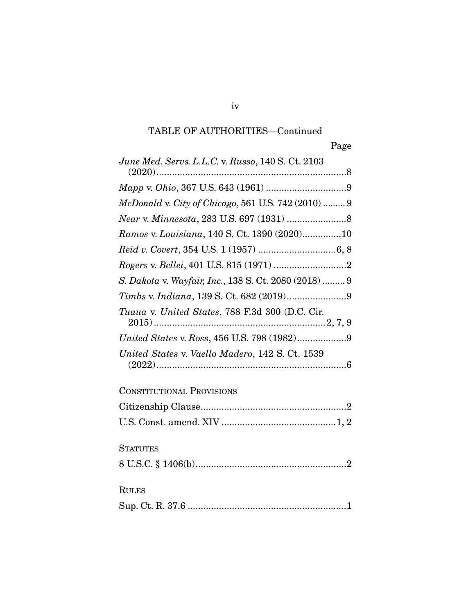### TABLE OF AUTHORITIES—Continued

| June Med. Servs. L.L.C. v. Russo, 140 S. Ct. 2103     |
|-------------------------------------------------------|
|                                                       |
| McDonald v. City of Chicago, 561 U.S. 742 (2010)  9   |
|                                                       |
| Ramos v. Louisiana, 140 S. Ct. 1390 (2020)10          |
|                                                       |
|                                                       |
| S. Dakota v. Wayfair, Inc., 138 S. Ct. 2080 (2018)  9 |
|                                                       |
| Tuaua v. United States, 788 F.3d 300 (D.C. Cir.       |
| $United\ States\ v.\ Ross, 456\ U.S.\ 798\ (1982)9$   |
| United States v. Vaello Madero, 142 S. Ct. 1539       |
| <b>CONSTITUTIONAL PROVISIONS</b>                      |
|                                                       |
|                                                       |
| <b>STATUTES</b>                                       |
|                                                       |
| <b>RULES</b>                                          |
|                                                       |

iv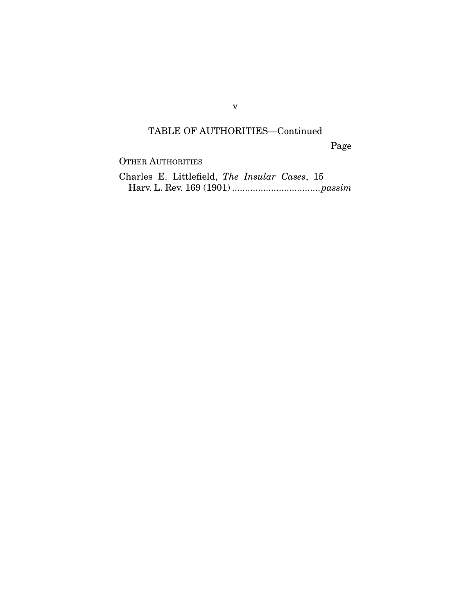### TABLE OF AUTHORITIES—Continued

Page

OTHER AUTHORITIES

Charles E. Littlefield, The Insular Cases, 15 Harv. L. Rev. 169 (1901) .................................. passim

v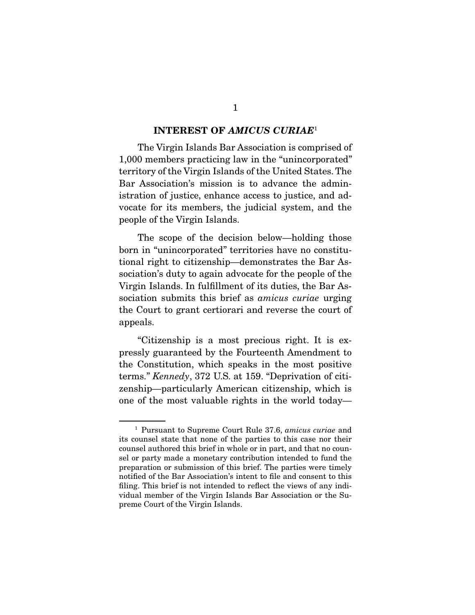#### **INTEREST OF** *AMICUS CURIAE*<sup>1</sup>

 The Virgin Islands Bar Association is comprised of 1,000 members practicing law in the "unincorporated" territory of the Virgin Islands of the United States. The Bar Association's mission is to advance the administration of justice, enhance access to justice, and advocate for its members, the judicial system, and the people of the Virgin Islands.

 The scope of the decision below—holding those born in "unincorporated" territories have no constitutional right to citizenship—demonstrates the Bar Association's duty to again advocate for the people of the Virgin Islands. In fulfillment of its duties, the Bar Association submits this brief as *amicus curiae* urging the Court to grant certiorari and reverse the court of appeals.

 "Citizenship is a most precious right. It is expressly guaranteed by the Fourteenth Amendment to the Constitution, which speaks in the most positive terms." Kennedy, 372 U.S. at 159. "Deprivation of citizenship—particularly American citizenship, which is one of the most valuable rights in the world today—

<sup>1</sup> Pursuant to Supreme Court Rule 37.6, amicus curiae and its counsel state that none of the parties to this case nor their counsel authored this brief in whole or in part, and that no counsel or party made a monetary contribution intended to fund the preparation or submission of this brief. The parties were timely notified of the Bar Association's intent to file and consent to this filing. This brief is not intended to reflect the views of any individual member of the Virgin Islands Bar Association or the Supreme Court of the Virgin Islands.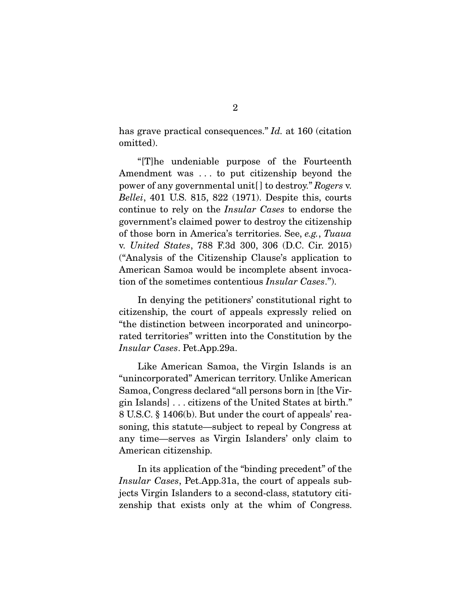has grave practical consequences." Id. at 160 (citation omitted).

 "[T]he undeniable purpose of the Fourteenth Amendment was . . . to put citizenship beyond the power of any governmental unit[ ] to destroy." Rogers v. Bellei, 401 U.S. 815, 822 (1971). Despite this, courts continue to rely on the Insular Cases to endorse the government's claimed power to destroy the citizenship of those born in America's territories. See, e.g., Tuaua v. United States, 788 F.3d 300, 306 (D.C. Cir. 2015) ("Analysis of the Citizenship Clause's application to American Samoa would be incomplete absent invocation of the sometimes contentious Insular Cases.").

 In denying the petitioners' constitutional right to citizenship, the court of appeals expressly relied on "the distinction between incorporated and unincorporated territories" written into the Constitution by the Insular Cases. Pet.App.29a.

 Like American Samoa, the Virgin Islands is an "unincorporated" American territory. Unlike American Samoa, Congress declared "all persons born in [the Virgin Islands] . . . citizens of the United States at birth." 8 U.S.C. § 1406(b). But under the court of appeals' reasoning, this statute—subject to repeal by Congress at any time—serves as Virgin Islanders' only claim to American citizenship.

 In its application of the "binding precedent" of the Insular Cases, Pet.App.31a, the court of appeals subjects Virgin Islanders to a second-class, statutory citizenship that exists only at the whim of Congress.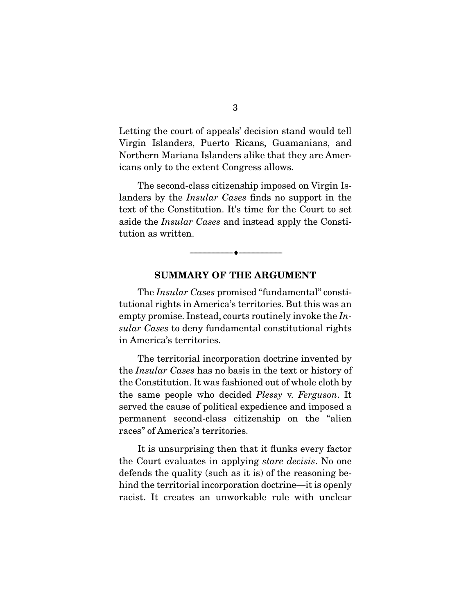Letting the court of appeals' decision stand would tell Virgin Islanders, Puerto Ricans, Guamanians, and Northern Mariana Islanders alike that they are Americans only to the extent Congress allows.

 The second-class citizenship imposed on Virgin Islanders by the *Insular Cases* finds no support in the text of the Constitution. It's time for the Court to set aside the Insular Cases and instead apply the Constitution as written.

### **SUMMARY OF THE ARGUMENT**

--------------------------------- ♦ ---------------------------------

 The Insular Cases promised "fundamental" constitutional rights in America's territories. But this was an empty promise. Instead, courts routinely invoke the Insular Cases to deny fundamental constitutional rights in America's territories.

 The territorial incorporation doctrine invented by the Insular Cases has no basis in the text or history of the Constitution. It was fashioned out of whole cloth by the same people who decided Plessy v. Ferguson. It served the cause of political expedience and imposed a permanent second-class citizenship on the "alien races" of America's territories.

 It is unsurprising then that it flunks every factor the Court evaluates in applying stare decisis. No one defends the quality (such as it is) of the reasoning behind the territorial incorporation doctrine—it is openly racist. It creates an unworkable rule with unclear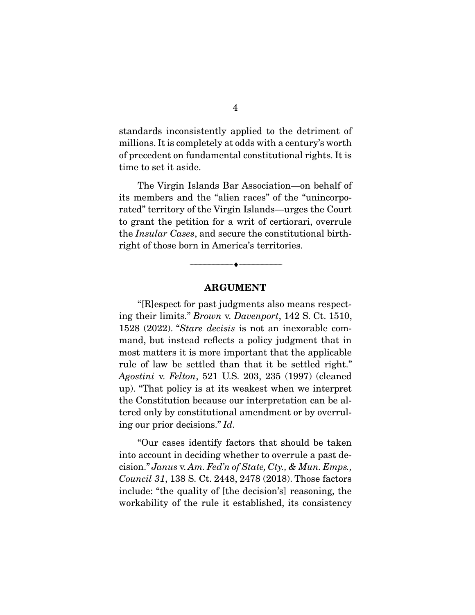standards inconsistently applied to the detriment of millions. It is completely at odds with a century's worth of precedent on fundamental constitutional rights. It is time to set it aside.

 The Virgin Islands Bar Association—on behalf of its members and the "alien races" of the "unincorporated" territory of the Virgin Islands—urges the Court to grant the petition for a writ of certiorari, overrule the Insular Cases, and secure the constitutional birthright of those born in America's territories.

### **ARGUMENT**

 $\overbrace{\hspace{2.5cm}}^{\bullet}$   $\overbrace{\hspace{2.5cm}}^{\bullet}$ 

 "[R]espect for past judgments also means respecting their limits." Brown v. Davenport, 142 S. Ct. 1510, 1528 (2022). "Stare decisis is not an inexorable command, but instead reflects a policy judgment that in most matters it is more important that the applicable rule of law be settled than that it be settled right." Agostini v. Felton, 521 U.S. 203, 235 (1997) (cleaned up). "That policy is at its weakest when we interpret the Constitution because our interpretation can be altered only by constitutional amendment or by overruling our prior decisions." Id.

 "Our cases identify factors that should be taken into account in deciding whether to overrule a past decision." Janus v. Am. Fed'n of State, Cty., & Mun. Emps., Council 31, 138 S. Ct. 2448, 2478 (2018). Those factors include: "the quality of [the decision's] reasoning, the workability of the rule it established, its consistency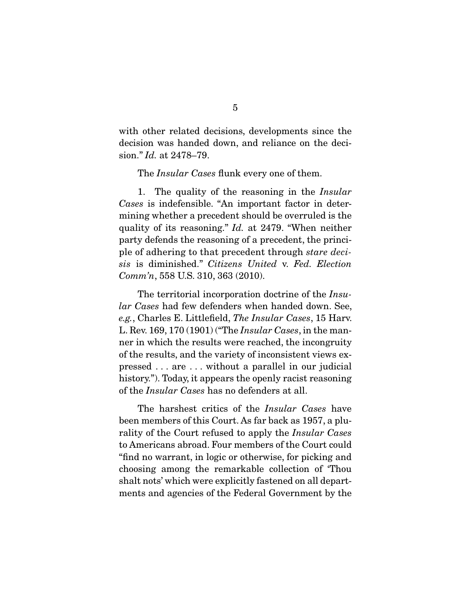with other related decisions, developments since the decision was handed down, and reliance on the decision." Id. at 2478–79.

The *Insular Cases* flunk every one of them.

 1. The quality of the reasoning in the Insular Cases is indefensible. "An important factor in determining whether a precedent should be overruled is the quality of its reasoning." Id. at 2479. "When neither party defends the reasoning of a precedent, the principle of adhering to that precedent through stare decisis is diminished." Citizens United v. Fed. Election Comm'n, 558 U.S. 310, 363 (2010).

The territorial incorporation doctrine of the *Insu*lar Cases had few defenders when handed down. See, e.g., Charles E. Littlefield, The Insular Cases, 15 Harv. L. Rev. 169, 170  $(1901)$  ("The *Insular Cases*, in the manner in which the results were reached, the incongruity of the results, and the variety of inconsistent views expressed . . . are . . . without a parallel in our judicial history."). Today, it appears the openly racist reasoning of the Insular Cases has no defenders at all.

 The harshest critics of the Insular Cases have been members of this Court. As far back as 1957, a plurality of the Court refused to apply the *Insular Cases* to Americans abroad. Four members of the Court could "find no warrant, in logic or otherwise, for picking and choosing among the remarkable collection of 'Thou shalt nots' which were explicitly fastened on all departments and agencies of the Federal Government by the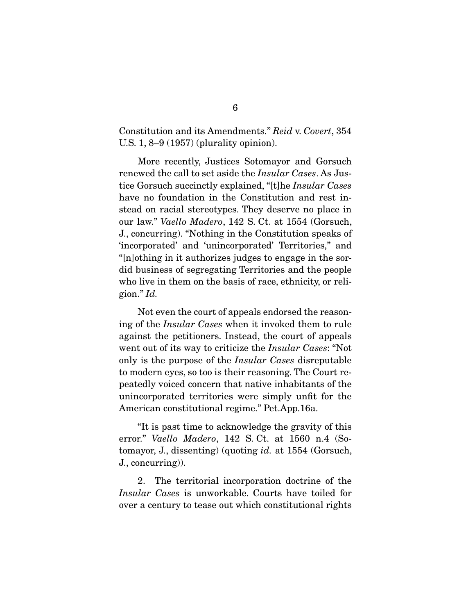Constitution and its Amendments." Reid v. Covert, 354 U.S. 1, 8–9 (1957) (plurality opinion).

 More recently, Justices Sotomayor and Gorsuch renewed the call to set aside the *Insular Cases*. As Justice Gorsuch succinctly explained, "[t]he Insular Cases have no foundation in the Constitution and rest instead on racial stereotypes. They deserve no place in our law." Vaello Madero, 142 S. Ct. at 1554 (Gorsuch, J., concurring). "Nothing in the Constitution speaks of 'incorporated' and 'unincorporated' Territories," and "[n]othing in it authorizes judges to engage in the sordid business of segregating Territories and the people who live in them on the basis of race, ethnicity, or religion." Id.

 Not even the court of appeals endorsed the reasoning of the Insular Cases when it invoked them to rule against the petitioners. Instead, the court of appeals went out of its way to criticize the *Insular Cases*: "Not only is the purpose of the Insular Cases disreputable to modern eyes, so too is their reasoning. The Court repeatedly voiced concern that native inhabitants of the unincorporated territories were simply unfit for the American constitutional regime." Pet.App.16a.

 "It is past time to acknowledge the gravity of this error." Vaello Madero, 142 S. Ct. at 1560 n.4 (Sotomayor, J., dissenting) (quoting id. at 1554 (Gorsuch, J., concurring)).

 2. The territorial incorporation doctrine of the Insular Cases is unworkable. Courts have toiled for over a century to tease out which constitutional rights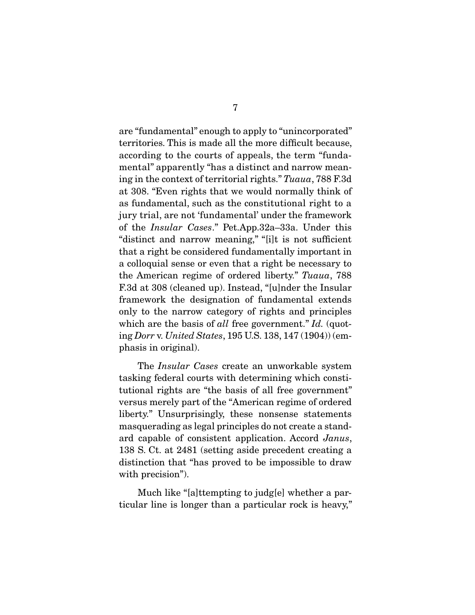are "fundamental" enough to apply to "unincorporated" territories. This is made all the more difficult because, according to the courts of appeals, the term "fundamental" apparently "has a distinct and narrow meaning in the context of territorial rights." Tuaua, 788 F.3d at 308. "Even rights that we would normally think of as fundamental, such as the constitutional right to a jury trial, are not 'fundamental' under the framework of the Insular Cases." Pet.App.32a–33a. Under this "distinct and narrow meaning," "[i]t is not sufficient that a right be considered fundamentally important in a colloquial sense or even that a right be necessary to the American regime of ordered liberty." Tuaua, 788 F.3d at 308 (cleaned up). Instead, "[u]nder the Insular framework the designation of fundamental extends only to the narrow category of rights and principles which are the basis of all free government." Id. (quoting Dorr v. United States, 195 U.S. 138, 147 (1904)) (emphasis in original).

The *Insular Cases* create an unworkable system tasking federal courts with determining which constitutional rights are "the basis of all free government" versus merely part of the "American regime of ordered liberty." Unsurprisingly, these nonsense statements masquerading as legal principles do not create a standard capable of consistent application. Accord Janus, 138 S. Ct. at 2481 (setting aside precedent creating a distinction that "has proved to be impossible to draw with precision").

 Much like "[a]ttempting to judg[e] whether a particular line is longer than a particular rock is heavy,"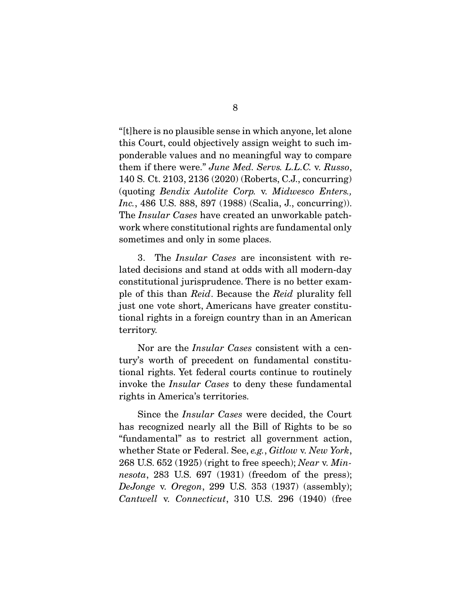"[t]here is no plausible sense in which anyone, let alone this Court, could objectively assign weight to such imponderable values and no meaningful way to compare them if there were." June Med. Servs. L.L.C. v. Russo, 140 S. Ct. 2103, 2136 (2020) (Roberts, C.J., concurring) (quoting Bendix Autolite Corp. v. Midwesco Enters., Inc., 486 U.S. 888, 897 (1988) (Scalia, J., concurring)). The *Insular Cases* have created an unworkable patchwork where constitutional rights are fundamental only sometimes and only in some places.

 3. The Insular Cases are inconsistent with related decisions and stand at odds with all modern-day constitutional jurisprudence. There is no better example of this than Reid. Because the Reid plurality fell just one vote short, Americans have greater constitutional rights in a foreign country than in an American territory.

Nor are the *Insular Cases* consistent with a century's worth of precedent on fundamental constitutional rights. Yet federal courts continue to routinely invoke the Insular Cases to deny these fundamental rights in America's territories.

 Since the Insular Cases were decided, the Court has recognized nearly all the Bill of Rights to be so "fundamental" as to restrict all government action, whether State or Federal. See, e.g., Gitlow v. New York, 268 U.S. 652 (1925) (right to free speech); Near v. Minnesota, 283 U.S. 697 (1931) (freedom of the press); DeJonge v. Oregon, 299 U.S. 353 (1937) (assembly); Cantwell v. Connecticut, 310 U.S. 296 (1940) (free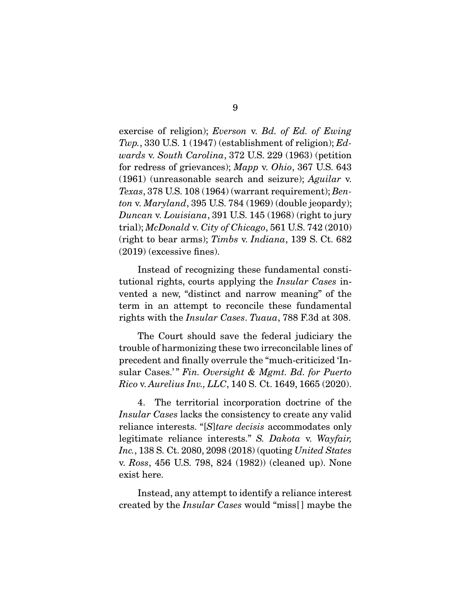exercise of religion); Everson v. Bd. of Ed. of Ewing Twp., 330 U.S. 1 (1947) (establishment of religion);  $Ed$ wards v. South Carolina, 372 U.S. 229 (1963) (petition for redress of grievances); Mapp v. Ohio, 367 U.S. 643 (1961) (unreasonable search and seizure); Aguilar v. Texas, 378 U.S. 108 (1964) (warrant requirement); Benton v. Maryland, 395 U.S. 784 (1969) (double jeopardy); Duncan v. Louisiana, 391 U.S. 145 (1968) (right to jury trial); McDonald v. City of Chicago, 561 U.S. 742 (2010) (right to bear arms); Timbs v. Indiana, 139 S. Ct. 682 (2019) (excessive fines).

 Instead of recognizing these fundamental constitutional rights, courts applying the Insular Cases invented a new, "distinct and narrow meaning" of the term in an attempt to reconcile these fundamental rights with the Insular Cases. Tuaua, 788 F.3d at 308.

 The Court should save the federal judiciary the trouble of harmonizing these two irreconcilable lines of precedent and finally overrule the "much-criticized 'Insular Cases.'" Fin. Oversight & Mgmt. Bd. for Puerto Rico v. Aurelius Inv., LLC, 140 S. Ct. 1649, 1665 (2020).

 4. The territorial incorporation doctrine of the Insular Cases lacks the consistency to create any valid reliance interests. "[S]tare decisis accommodates only legitimate reliance interests." S. Dakota v. Wayfair, Inc., 138 S. Ct. 2080, 2098 (2018) (quoting United States v. Ross, 456 U.S. 798, 824 (1982)) (cleaned up). None exist here.

 Instead, any attempt to identify a reliance interest created by the Insular Cases would "miss[ ] maybe the